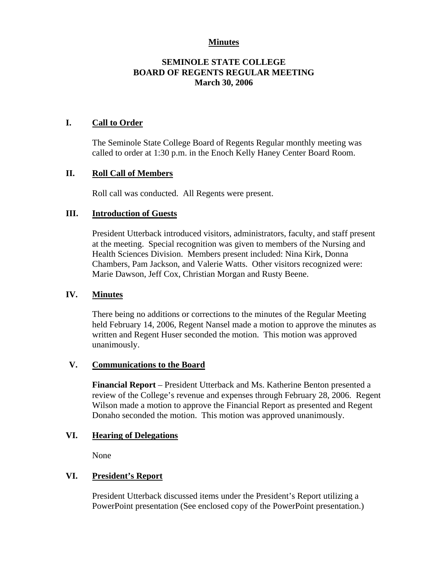# **Minutes**

# **SEMINOLE STATE COLLEGE BOARD OF REGENTS REGULAR MEETING March 30, 2006**

# **I. Call to Order**

The Seminole State College Board of Regents Regular monthly meeting was called to order at 1:30 p.m. in the Enoch Kelly Haney Center Board Room.

# **II. Roll Call of Members**

Roll call was conducted. All Regents were present.

### **III. Introduction of Guests**

President Utterback introduced visitors, administrators, faculty, and staff present at the meeting. Special recognition was given to members of the Nursing and Health Sciences Division. Members present included: Nina Kirk, Donna Chambers, Pam Jackson, and Valerie Watts. Other visitors recognized were: Marie Dawson, Jeff Cox, Christian Morgan and Rusty Beene.

### **IV. Minutes**

There being no additions or corrections to the minutes of the Regular Meeting held February 14, 2006, Regent Nansel made a motion to approve the minutes as written and Regent Huser seconded the motion. This motion was approved unanimously.

### **V. Communications to the Board**

**Financial Report** – President Utterback and Ms. Katherine Benton presented a review of the College's revenue and expenses through February 28, 2006. Regent Wilson made a motion to approve the Financial Report as presented and Regent Donaho seconded the motion. This motion was approved unanimously.

# **VI. Hearing of Delegations**

None

# **VI. President's Report**

President Utterback discussed items under the President's Report utilizing a PowerPoint presentation (See enclosed copy of the PowerPoint presentation.)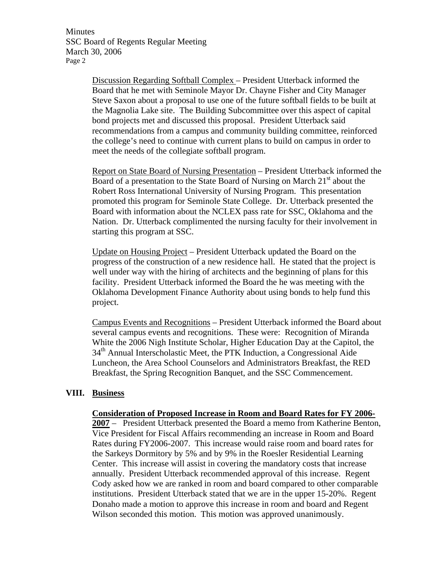Minutes SSC Board of Regents Regular Meeting March 30, 2006 Page 2

> Discussion Regarding Softball Complex – President Utterback informed the Board that he met with Seminole Mayor Dr. Chayne Fisher and City Manager Steve Saxon about a proposal to use one of the future softball fields to be built at the Magnolia Lake site. The Building Subcommittee over this aspect of capital bond projects met and discussed this proposal. President Utterback said recommendations from a campus and community building committee, reinforced the college's need to continue with current plans to build on campus in order to meet the needs of the collegiate softball program.

Report on State Board of Nursing Presentation – President Utterback informed the Board of a presentation to the State Board of Nursing on March  $21<sup>st</sup>$  about the Robert Ross International University of Nursing Program. This presentation promoted this program for Seminole State College. Dr. Utterback presented the Board with information about the NCLEX pass rate for SSC, Oklahoma and the Nation. Dr. Utterback complimented the nursing faculty for their involvement in starting this program at SSC.

Update on Housing Project – President Utterback updated the Board on the progress of the construction of a new residence hall. He stated that the project is well under way with the hiring of architects and the beginning of plans for this facility. President Utterback informed the Board the he was meeting with the Oklahoma Development Finance Authority about using bonds to help fund this project.

Campus Events and Recognitions – President Utterback informed the Board about several campus events and recognitions. These were: Recognition of Miranda White the 2006 Nigh Institute Scholar, Higher Education Day at the Capitol, the 34<sup>th</sup> Annual Interscholastic Meet, the PTK Induction, a Congressional Aide Luncheon, the Area School Counselors and Administrators Breakfast, the RED Breakfast, the Spring Recognition Banquet, and the SSC Commencement.

#### **VIII. Business**

#### **Consideration of Proposed Increase in Room and Board Rates for FY 2006-**

**2007** – President Utterback presented the Board a memo from Katherine Benton, Vice President for Fiscal Affairs recommending an increase in Room and Board Rates during FY2006-2007. This increase would raise room and board rates for the Sarkeys Dormitory by 5% and by 9% in the Roesler Residential Learning Center. This increase will assist in covering the mandatory costs that increase annually. President Utterback recommended approval of this increase. Regent Cody asked how we are ranked in room and board compared to other comparable institutions. President Utterback stated that we are in the upper 15-20%. Regent Donaho made a motion to approve this increase in room and board and Regent Wilson seconded this motion. This motion was approved unanimously.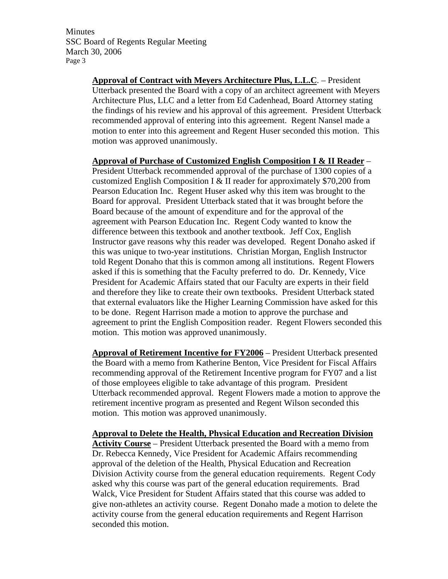Minutes SSC Board of Regents Regular Meeting March 30, 2006 Page 3

> **Approval of Contract with Meyers Architecture Plus, L.L.C**. – President Utterback presented the Board with a copy of an architect agreement with Meyers Architecture Plus, LLC and a letter from Ed Cadenhead, Board Attorney stating the findings of his review and his approval of this agreement. President Utterback recommended approval of entering into this agreement. Regent Nansel made a motion to enter into this agreement and Regent Huser seconded this motion. This motion was approved unanimously.

> **Approval of Purchase of Customized English Composition I & II Reader** – President Utterback recommended approval of the purchase of 1300 copies of a customized English Composition I & II reader for approximately \$70,200 from Pearson Education Inc. Regent Huser asked why this item was brought to the Board for approval. President Utterback stated that it was brought before the Board because of the amount of expenditure and for the approval of the agreement with Pearson Education Inc. Regent Cody wanted to know the difference between this textbook and another textbook. Jeff Cox, English Instructor gave reasons why this reader was developed. Regent Donaho asked if this was unique to two-year institutions. Christian Morgan, English Instructor told Regent Donaho that this is common among all institutions. Regent Flowers asked if this is something that the Faculty preferred to do. Dr. Kennedy, Vice President for Academic Affairs stated that our Faculty are experts in their field and therefore they like to create their own textbooks. President Utterback stated that external evaluators like the Higher Learning Commission have asked for this to be done. Regent Harrison made a motion to approve the purchase and agreement to print the English Composition reader. Regent Flowers seconded this motion. This motion was approved unanimously.

> **Approval of Retirement Incentive for FY2006** – President Utterback presented the Board with a memo from Katherine Benton, Vice President for Fiscal Affairs recommending approval of the Retirement Incentive program for FY07 and a list of those employees eligible to take advantage of this program. President Utterback recommended approval. Regent Flowers made a motion to approve the retirement incentive program as presented and Regent Wilson seconded this motion. This motion was approved unanimously.

> **Approval to Delete the Health, Physical Education and Recreation Division Activity Course** – President Utterback presented the Board with a memo from Dr. Rebecca Kennedy, Vice President for Academic Affairs recommending approval of the deletion of the Health, Physical Education and Recreation Division Activity course from the general education requirements. Regent Cody asked why this course was part of the general education requirements. Brad Walck, Vice President for Student Affairs stated that this course was added to give non-athletes an activity course. Regent Donaho made a motion to delete the activity course from the general education requirements and Regent Harrison seconded this motion.